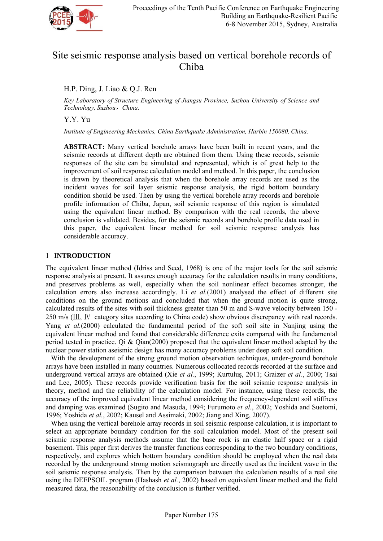

# Site seismic response analysis based on vertical borehole records of Chiba

# H.P. Ding, J. Liao & Q.J. Ren

*Key Laboratory of Structure Engineering of Jiangsu Province, Suzhou University of Science and Technology, Suzhou*,*China.* 

Y.Y. Yu

*Institute of Engineering Mechanics, China Earthquake Administration, Harbin 150080, China.* 

**ABSTRACT:** Many vertical borehole arrays have been built in recent years, and the seismic records at different depth are obtained from them. Using these records, seismic responses of the site can be simulated and represented, which is of great help to the improvement of soil response calculation model and method. In this paper, the conclusion is drawn by theoretical analysis that when the borehole array records are used as the incident waves for soil layer seismic response analysis, the rigid bottom boundary condition should be used. Then by using the vertical borehole array records and borehole profile information of Chiba, Japan, soil seismic response of this region is simulated using the equivalent linear method. By comparison with the real records, the above conclusion is validated. Besides, for the seismic records and borehole profile data used in this paper, the equivalent linear method for soil seismic response analysis has considerable accuracy.

## 1 **INTRODUCTION**

The equivalent linear method (Idriss and Seed, 1968) is one of the major tools for the soil seismic response analysis at present. It assures enough accuracy for the calculation results in many conditions, and preserves problems as well, especially when the soil nonlinear effect becomes stronger, the calculation errors also increase accordingly. Li *et al.*(2001) analysed the effect of different site conditions on the ground motions and concluded that when the ground motion is quite strong, calculated results of the sites with soil thickness greater than 50 m and S-wave velocity between 150 - 250 m/s (Ⅲ, Ⅳ category sites according to China code) show obvious discrepancy with real records. Yang *et al.*(2000) calculated the fundamental period of the soft soil site in Nanjing using the equivalent linear method and found that considerable difference exits compared with the fundamental period tested in practice. Qi & Qian(2000) proposed that the equivalent linear method adapted by the nuclear power station aseismic design has many accuracy problems under deep soft soil condition.

With the development of the strong ground motion observation techniques, under-ground borehole arrays have been installed in many countries. Numerous collocated records recorded at the surface and underground vertical arrays are obtained (Xie *et al.*, 1999; Kurtuluş, 2011; Graizer *et al.*, 2000; Tsai and Lee, 2005). These records provide verification basis for the soil seismic response analysis in theory, method and the reliability of the calculation model. For instance, using these records, the accuracy of the improved equivalent linear method considering the frequency-dependent soil stiffness and damping was examined (Sugito and Masuda, 1994; Furumoto *et al.*, 2002; Yoshida and Suetomi, 1996; Yoshida *et al.*, 2002; Kausel and Assimaki, 2002; Jiang and Xing, 2007).

 When using the vertical borehole array records in soil seismic response calculation, it is important to select an appropriate boundary condition for the soil calculation model. Most of the present soil seismic response analysis methods assume that the base rock is an elastic half space or a rigid basement. This paper first derives the transfer functions corresponding to the two boundary conditions, respectively, and explores which bottom boundary condition should be employed when the real data recorded by the underground strong motion seismograph are directly used as the incident wave in the soil seismic response analysis. Then by the comparison between the calculation results of a real site using the DEEPSOIL program (Hashash *et al.*, 2002) based on equivalent linear method and the field measured data, the reasonability of the conclusion is further verified.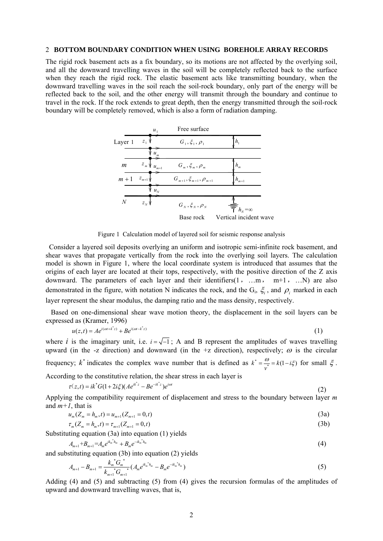#### 2 **BOTTOM BOUNDARY CONDITION WHEN USING BOREHOLE ARRAY RECORDS**

The rigid rock basement acts as a fix boundary, so its motions are not affected by the overlying soil, and all the downward travelling waves in the soil will be completely reflected back to the surface when they reach the rigid rock. The elastic basement acts like transmitting boundary, when the downward travelling waves in the soil reach the soil-rock boundary, only part of the energy will be reflected back to the soil, and the other energy will transmit through the boundary and continue to travel in the rock. If the rock extends to great depth, then the energy transmitted through the soil-rock boundary will be completely removed, which is also a form of radiation damping.



Figure 1 Calculation model of layered soil for seismic response analysis

 Consider a layered soil deposits overlying an uniform and isotropic semi-infinite rock basement, and shear waves that propagate vertically from the rock into the overlying soil layers. The calculation model is shown in Figure 1, where the local coordinate system is introduced that assumes that the origins of each layer are located at their tops, respectively, with the positive direction of the Z axis downward. The parameters of each layer and their identifiers $(1, \ldots, m, m+1, \ldots)$  are also demonstrated in the figure, with notation N indicates the rock, and the  $G_i$ ,  $\xi_i$ , and  $\rho_i$  marked in each layer represent the shear modulus, the damping ratio and the mass density, respectively.

 Based on one-dimensional shear wave motion theory, the displacement in the soil layers can be expressed as (Kramer, 1996)

$$
u(z,t) = Ae^{i(\omega t + k^* z)} + Be^{i(\omega t - k^* z)}
$$
 (1)

where *i* is the imaginary unit, i.e.  $i = \sqrt{-1}$ ; A and B represent the amplitudes of waves travelling upward (in the -z direction) and downward (in the +z direction), respectively;  $\omega$  is the circular frequency;  $k^*$  indicates the complex wave number that is defined as  $k^* = \frac{\omega}{v^*} = k(1 - i\xi)$  for small  $\xi$ .

According to the constitutive relation, the shear stress in each layer is

$$
\tau(z,t) = ik^* G (1+2i\zeta)(Ae^{ik^*z} - Be^{-ik^*z})e^{i\omega t}
$$
 (2)

Applying the compatibility requirement of displacement and stress to the boundary between layer *m* and  $m+1$ , that is

$$
u_m(Z_m = h_m, t) = u_{m+1}(Z_{m+1} = 0, t)
$$
\n(3a)

$$
\tau_m(Z_m = h_m, t) = \tau_{m+1}(Z_{m+1} = 0, t) \tag{3b}
$$

Substituting equation  $(3a)$  into equation  $(1)$  yields

$$
A_{m+1} + B_{m+1} = A_m e^{ik_m * h_m} + B_m e^{-ik_m * h_m}
$$
\n<sup>(4)</sup>

and substituting equation (3b) into equation (2) yields

$$
A_{m+1} - B_{m+1} = \frac{k_m^* G_m^*}{k_{m+1}^* G_{m+1}} (A_m e^{ik_m^* h_m} - B_m e^{-ik_m^* h_m})
$$
\n<sup>(5)</sup>

Adding (4) and (5) and subtracting (5) from (4) gives the recursion formulas of the amplitudes of upward and downward travelling waves, that is,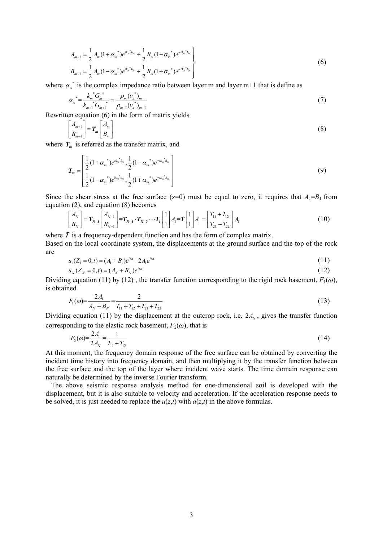$$
A_{m+1} = \frac{1}{2} A_m (1 + \alpha_m^*) e^{ik_m^* h_m} + \frac{1}{2} B_m (1 - \alpha_m^*) e^{-ik_m^* h_m}
$$
  
\n
$$
B_{m+1} = \frac{1}{2} A_m (1 - \alpha_m^*) e^{ik_m^* h_m} + \frac{1}{2} B_m (1 + \alpha_m^*) e^{-ik_m^* h_m}
$$
\n(6)

where  $\alpha_{m}^{*}$  is the complex impedance ratio between layer m and layer m+1 that is define as

$$
\alpha_m^* = \frac{k_m^*^* G_m^*}{k_{m+1}^* G_{m+1}} = \frac{\rho_m (v_s^*)_m}{\rho_{m+1} (v_s^*)_{m+1}}
$$
\n(7)

Rewritten equation (6) in the form of matrix yields

$$
\begin{bmatrix} A_{m+1} \\ B_{m+1} \end{bmatrix} = \boldsymbol{T}_m \begin{bmatrix} A_m \\ B_m \end{bmatrix}
$$
 (8)

where  $T_m$  is referred as the transfer matrix, and

$$
\boldsymbol{T}_{m} = \begin{bmatrix} \frac{1}{2} (1 + \alpha_{m}^{*}) e^{ik_{m}^{*}h_{m}}, \frac{1}{2} (1 - \alpha_{m}^{*}) e^{-ik_{m}^{*}h_{m}} \\ \frac{1}{2} (1 - \alpha_{m}^{*}) e^{ik_{m}^{*}h_{m}}, \frac{1}{2} (1 + \alpha_{m}^{*}) e^{-ik_{m}^{*}h_{m}} \end{bmatrix}
$$
\n(9)

Since the shear stress at the free surface ( $z=0$ ) must be equal to zero, it requires that  $A_1 = B_1$  from equation (2), and equation (8) becomes

$$
\begin{bmatrix} A_N \\ B_N \end{bmatrix} = \mathbf{T}_{N-1} \begin{bmatrix} A_{N-1} \\ B_{N-1} \end{bmatrix} = \mathbf{T}_{N-1} \cdot \mathbf{T}_{N-2} \cdots \mathbf{T}_I \begin{bmatrix} 1 \\ 1 \end{bmatrix} A_1 = \mathbf{T} \begin{bmatrix} 1 \\ 1 \end{bmatrix} A_1 = \begin{bmatrix} T_{11} + T_{12} \\ T_{21} + T_{22} \end{bmatrix} A_1
$$
\n(10)

where  $T$  is a frequency-dependent function and has the form of complex matrix. Based on the local coordinate system, the displacements at the ground surface and the top of the rock are

$$
u_1(Z_1 = 0, t) = (A_1 + B_1)e^{i\omega t} = 2A_1e^{i\omega t}
$$
\n(11)

$$
u_N(Z_N = 0, t) = (A_N + B_N)e^{i\omega t}
$$
\n(12)

Dividing equation (11) by (12), the transfer function corresponding to the rigid rock basement,  $F_1(\omega)$ , is obtained

$$
F_1(\omega) = \frac{2A_1}{A_N + B_N} = \frac{2}{T_{11} + T_{12} + T_{21} + T_{22}}
$$
\n(13)

Dividing equation (11) by the displacement at the outcrop rock, i.e.  $2A<sub>N</sub>$ , gives the transfer function corresponding to the elastic rock basement,  $F_2(\omega)$ , that is

$$
F_2(\omega) = \frac{2A_1}{2A_N} = \frac{1}{T_{11} + T_{12}}\tag{14}
$$

At this moment, the frequency domain response of the free surface can be obtained by converting the incident time history into frequency domain, and then multiplying it by the transfer function between the free surface and the top of the layer where incident wave starts. The time domain response can naturally be determined by the inverse Fourier transform.

 The above seismic response analysis method for one-dimensional soil is developed with the displacement, but it is also suitable to velocity and acceleration. If the acceleration response needs to be solved, it is just needed to replace the  $u(z,t)$  with  $a(z,t)$  in the above formulas.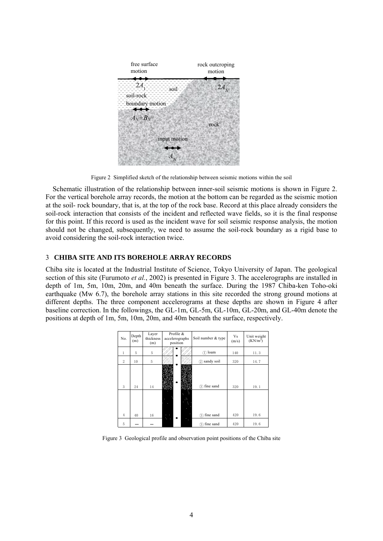| free surface<br>motion                    | rock outcroping<br>motion |
|-------------------------------------------|---------------------------|
| -74<br>soil-rock --<br>- boundary motion- | 2A                        |
| $A_N + B_N$                               | rock                      |
| input motion                              |                           |

Figure 2 Simplified sketch of the relationship between seismic motions within the soil

 Schematic illustration of the relationship between inner-soil seismic motions is shown in Figure 2. For the vertical borehole array records, the motion at the bottom can be regarded as the seismic motion at the soil- rock boundary, that is, at the top of the rock base. Record at this place already considers the soil-rock interaction that consists of the incident and reflected wave fields, so it is the final response for this point. If this record is used as the incident wave for soil seismic response analysis, the motion should not be changed, subsequently, we need to assume the soil-rock boundary as a rigid base to avoid considering the soil-rock interaction twice.

### 3 **CHIBA SITE AND ITS BOREHOLE ARRAY RECORDS**

Chiba site is located at the Industrial Institute of Science, Tokyo University of Japan. The geological section of this site (Furumoto *et al.*, 2002) is presented in Figure 3. The accelerographs are installed in depth of 1m, 5m, 10m, 20m, and 40m beneath the surface. During the 1987 Chiba-ken Toho-oki earthquake (Mw 6.7), the borehole array stations in this site recorded the strong ground motions at different depths. The three component accelerograms at these depths are shown in Figure 4 after baseline correction. In the followings, the GL-1m, GL-5m, GL-10m, GL-20m, and GL-40m denote the positions at depth of 1m, 5m, 10m, 20m, and 40m beneath the surface, respectively.

| No.            | Depth<br>(m) | Layer<br>thickness<br>(m) | Profile &<br>accelerographs<br>position | Soil number & type | Vs<br>(m/s) | Unit weight<br>(KN/m <sup>3</sup> ) |
|----------------|--------------|---------------------------|-----------------------------------------|--------------------|-------------|-------------------------------------|
|                | 5            | 5                         |                                         | $(1)$ loam         | 140         | 11.3                                |
| $\overline{2}$ | 10           | 5                         |                                         | sandy soil<br>②    | 320         | 14.7                                |
| 3              | 24           | 14                        |                                         | (3) fine sand      | 320         | 19.1                                |
| $\overline{4}$ | 40           | 16                        |                                         | fine sand<br>③     | 420         | 19.6                                |
| 5              |              |                           |                                         | 3) fine sand       | 420         | 19.6                                |

Figure 3 Geological profile and observation point positions of the Chiba site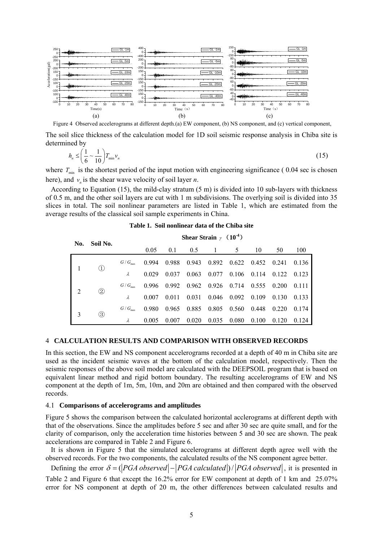

Figure 4 Observed accelerograms at different depth.(a) EW component, (b) NS component, and (c) vertical component,

The soil slice thickness of the calculation model for 1D soil seismic response analysis in Chiba site is determined by

$$
h_n \le \left(\frac{1}{6} \sim \frac{1}{10}\right) T_{\min} v_n \tag{15}
$$

where  $T_{\text{min}}$  is the shortest period of the input motion with engineering significance (0.04 sec is chosen here), and  $v_n$  is the shear wave velocity of soil layer *n*.

According to Equation (15), the mild-clay stratum  $(5 \text{ m})$  is divided into 10 sub-layers with thickness of 0.5 m, and the other soil layers are cut with 1 m subdivisions. The overlying soil is divided into 35 slices in total. The soil nonlinear parameters are listed in Table 1, which are estimated from the average results of the classical soil sample experiments in China.

| No. | Soil No.                             | Shear Strain $\gamma$ (10 <sup>-4</sup> ) |       |       |       |       |             |       |       |       |
|-----|--------------------------------------|-------------------------------------------|-------|-------|-------|-------|-------------|-------|-------|-------|
|     |                                      |                                           | 0.05  | 0.1   | 0.5   |       | 5           | 10    | 50    | 100   |
|     | $\left(1\right)$                     | $G/G_{\max}$                              | 0.994 | 0.988 | 0.943 | 0.892 | 0.622 0.452 |       | 0.241 | 0.136 |
|     |                                      | λ                                         | 0.029 | 0.037 | 0.063 | 0.077 | 0.106       | 0.114 | 0.122 | 0.123 |
| 2   | $^{\small{\textcircled{\small{2}}}}$ | $G/G_{\max}$                              | 0.996 | 0.992 | 0.962 | 0.926 | 0.714       | 0.555 | 0.200 | 0.111 |
|     |                                      | λ                                         | 0.007 | 0.011 | 0.031 | 0.046 | 0.092       | 0.109 | 0.130 | 0.133 |
| 3   | ③                                    | $G/G_{\max}$                              | 0.980 | 0.965 | 0.885 | 0.805 | 0.560       | 0.448 | 0.220 | 0.174 |
|     |                                      | λ                                         | 0.005 | 0.007 | 0.020 | 0.035 | 0.080       | 0.100 | 0.120 | 0.124 |

**Table 1. Soil nonlinear data of the Chiba site** 

#### 4 **CALCULATION RESULTS AND COMPARISON WITH OBSERVED RECORDS**

In this section, the EW and NS component accelerograms recorded at a depth of 40 m in Chiba site are used as the incident seismic waves at the bottom of the calculation model, respectively. Then the seismic responses of the above soil model are calculated with the DEEPSOIL program that is based on equivalent linear method and rigid bottom boundary. The resulting accelerograms of EW and NS component at the depth of 1m, 5m, 10m, and 20m are obtained and then compared with the observed records.

#### 4.1 **Comparisons of accelerograms and amplitudes**

Figure 5 shows the comparison between the calculated horizontal acclerograms at different depth with that of the observations. Since the amplitudes before 5 sec and after 30 sec are quite small, and for the clarity of comparison, only the acceleration time histories between 5 and 30 sec are shown. The peak accelerations are compared in Table 2 and Figure 6.

 It is shown in Figure 5 that the simulated accelerograms at different depth agree well with the observed records. For the two components, the calculated results of the NS component agree better.

Defining the error  $\delta = (PGA$  observed  $|-|PGA$  calculated  $|)/|PGA$  observed, it is presented in Table 2 and Figure 6 that except the 16.2% error for EW component at depth of 1 km and 25.07%

error for NS component at depth of 20 m, the other differences between calculated results and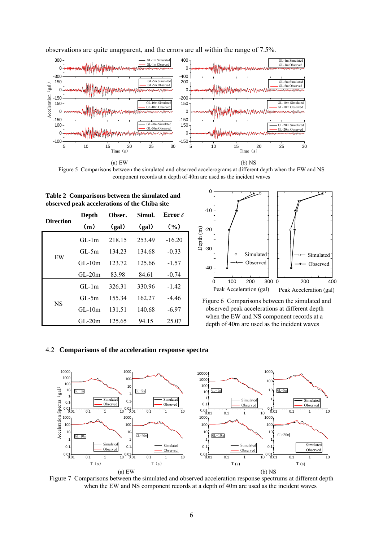

observations are quite unapparent, and the errors are all within the range of 7.5%.

Figure 5 Comparisons between the simulated and observed accelerograms at different depth when the EW and NS component records at a depth of 40m are used as the incident waves

| observed peak accelerations of the Chiba site |          |        |        |                |  |  |  |
|-----------------------------------------------|----------|--------|--------|----------------|--|--|--|
|                                               | Depth    | Obser. | Simul. | Error $\delta$ |  |  |  |
| <b>Direction</b>                              | (m)      | (gal)  | (gal)  | (0/0)          |  |  |  |
|                                               | $GL-1m$  | 218.15 | 253.49 | $-16.20$       |  |  |  |
|                                               | $GL-5m$  | 134.23 | 134.68 | $-0.33$        |  |  |  |
| EW                                            | $GL-10m$ | 123.72 | 125.66 | $-1.57$        |  |  |  |
|                                               | $GL-20m$ | 83.98  | 84.61  | $-0.74$        |  |  |  |
|                                               | $GL-1m$  | 326.31 | 330.96 | $-1.42$        |  |  |  |
|                                               | $GL-5m$  | 155.34 | 162.27 | $-4.46$        |  |  |  |
| <b>NS</b>                                     | $GL-10m$ | 131.51 | 140.68 | $-6.97$        |  |  |  |
|                                               | $GL-20m$ | 125.65 | 94.15  | 25.07          |  |  |  |

**Table 2 Comparisons between the simulated and** 



Figure 6 Comparisons between the simulated and observed peak accelerations at different depth when the EW and NS component records at a depth of 40m are used as the incident waves

#### 4.2 **Comparisons of the acceleration response spectra**



Figure 7 Comparisons between the simulated and observed acceleration response spectrums at different depth when the EW and NS component records at a depth of 40m are used as the incident waves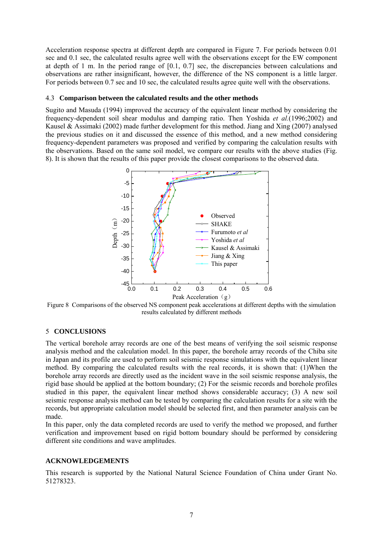Acceleration response spectra at different depth are compared in Figure 7. For periods between 0.01 sec and 0.1 sec, the calculated results agree well with the observations except for the EW component at depth of 1 m. In the period range of [0.1, 0.7] sec, the discrepancies between calculations and observations are rather insignificant, however, the difference of the NS component is a little larger. For periods between 0.7 sec and 10 sec, the calculated results agree quite well with the observations.

#### 4.3 **Comparison between the calculated results and the other methods**

Sugito and Masuda (1994) improved the accuracy of the equivalent linear method by considering the frequency-dependent soil shear modulus and damping ratio. Then Yoshida *et al.*(1996;2002) and Kausel & Assimaki (2002) made further development for this method. Jiang and Xing (2007) analysed the previous studies on it and discussed the essence of this method, and a new method considering frequency-dependent parameters was proposed and verified by comparing the calculation results with the observations. Based on the same soil model, we compare our results with the above studies (Fig. 8). It is shown that the results of this paper provide the closest comparisons to the observed data.



Figure 8 Comparisons of the observed NS component peak accelerations at different depths with the simulation results calculated by different methods

### 5 **CONCLUSIONS**

The vertical borehole array records are one of the best means of verifying the soil seismic response analysis method and the calculation model. In this paper, the borehole array records of the Chiba site in Japan and its profile are used to perform soil seismic response simulations with the equivalent linear method. By comparing the calculated results with the real records, it is shown that: (1)When the borehole array records are directly used as the incident wave in the soil seismic response analysis, the rigid base should be applied at the bottom boundary; (2) For the seismic records and borehole profiles studied in this paper, the equivalent linear method shows considerable accuracy; (3) A new soil seismic response analysis method can be tested by comparing the calculation results for a site with the records, but appropriate calculation model should be selected first, and then parameter analysis can be made.

In this paper, only the data completed records are used to verify the method we proposed, and further verification and improvement based on rigid bottom boundary should be performed by considering different site conditions and wave amplitudes.

#### **ACKNOWLEDGEMENTS**

This research is supported by the National Natural Science Foundation of China under Grant No. 51278323.